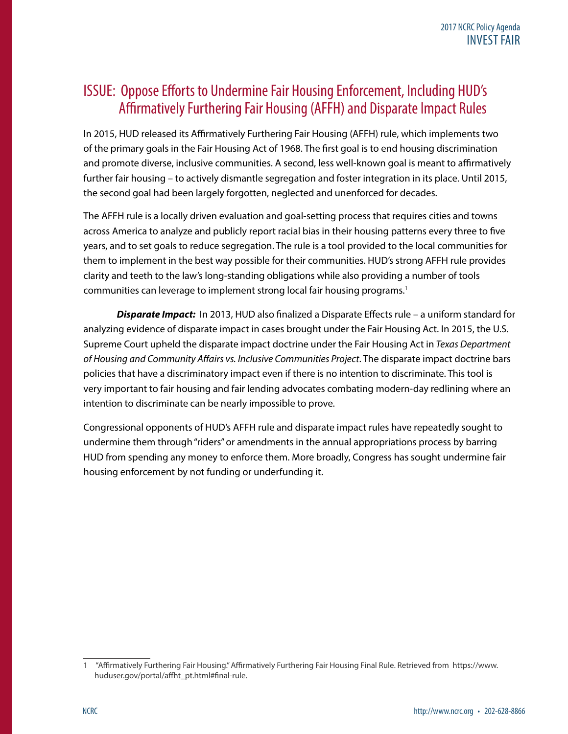## ISSUE: Oppose Efforts to Undermine Fair Housing Enforcement, Including HUD's Affirmatively Furthering Fair Housing (AFFH) and Disparate Impact Rules

In 2015, HUD released its Affirmatively Furthering Fair Housing (AFFH) rule, which implements two of the primary goals in the Fair Housing Act of 1968. The first goal is to end housing discrimination and promote diverse, inclusive communities. A second, less well-known goal is meant to affirmatively further fair housing – to actively dismantle segregation and foster integration in its place. Until 2015, the second goal had been largely forgotten, neglected and unenforced for decades.

The AFFH rule is a locally driven evaluation and goal-setting process that requires cities and towns across America to analyze and publicly report racial bias in their housing patterns every three to five years, and to set goals to reduce segregation. The rule is a tool provided to the local communities for them to implement in the best way possible for their communities. HUD's strong AFFH rule provides clarity and teeth to the law's long-standing obligations while also providing a number of tools communities can leverage to implement strong local fair housing programs.1

*Disparate Impact:*In 2013, HUD also finalized a Disparate Effects rule – a uniform standard for analyzing evidence of disparate impact in cases brought under the Fair Housing Act. In 2015, the U.S. Supreme Court upheld the disparate impact doctrine under the Fair Housing Act in *Texas Department of Housing and Community Affairs vs. Inclusive Communities Project*. The disparate impact doctrine bars policies that have a discriminatory impact even if there is no intention to discriminate. This tool is very important to fair housing and fair lending advocates combating modern-day redlining where an intention to discriminate can be nearly impossible to prove.

Congressional opponents of HUD's AFFH rule and disparate impact rules have repeatedly sought to undermine them through "riders" or amendments in the annual appropriations process by barring HUD from spending any money to enforce them. More broadly, Congress has sought undermine fair housing enforcement by not funding or underfunding it.

<sup>1 &</sup>quot;Affirmatively Furthering Fair Housing." Affirmatively Furthering Fair Housing Final Rule. Retrieved from https://www. huduser.gov/portal/affht\_pt.html#final-rule.